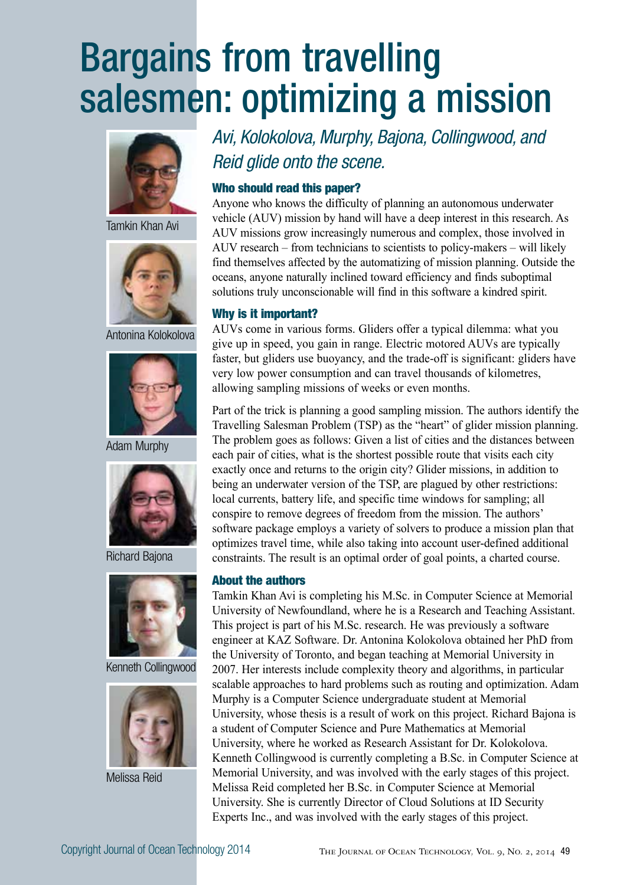# Bargains from travelling salesmen: optimizing a mission



Tamkin Khan Avi



Antonina Kolokolova



Adam Murphy



Richard Bajona



Kenneth Collingwood



Melissa Reid

*Avi, Kolokolova, Murphy, Bajona, Collingwood, and Reid glide onto the scene.*

#### Who should read this paper?

Anyone who knows the difficulty of planning an autonomous underwater vehicle (AUV) mission by hand will have a deep interest in this research. As AUV missions grow increasingly numerous and complex, those involved in AUV research – from technicians to scientists to policy-makers – will likely find themselves affected by the automatizing of mission planning. Outside the oceans, anyone naturally inclined toward efficiency and finds suboptimal solutions truly unconscionable will find in this software a kindred spirit.

#### Why is it important?

AUVs come in various forms. Gliders offer a typical dilemma: what you give up in speed, you gain in range. Electric motored AUVs are typically faster, but gliders use buoyancy, and the trade-off is significant: gliders have very low power consumption and can travel thousands of kilometres, allowing sampling missions of weeks or even months.

Part of the trick is planning a good sampling mission. The authors identify the Travelling Salesman Problem (TSP) as the "heart" of glider mission planning. The problem goes as follows: Given a list of cities and the distances between each pair of cities, what is the shortest possible route that visits each city exactly once and returns to the origin city? Glider missions, in addition to being an underwater version of the TSP, are plagued by other restrictions: local currents, battery life, and specific time windows for sampling; all conspire to remove degrees of freedom from the mission. The authors' software package employs a variety of solvers to produce a mission plan that optimizes travel time, while also taking into account user-defined additional constraints. The result is an optimal order of goal points, a charted course.

#### About the authors

Tamkin Khan Avi is completing his M.Sc. in Computer Science at Memorial University of Newfoundland, where he is a Research and Teaching Assistant. This project is part of his M.Sc. research. He was previously a software engineer at KAZ Software. Dr. Antonina Kolokolova obtained her PhD from the University of Toronto, and began teaching at Memorial University in 2007. Her interests include complexity theory and algorithms, in particular scalable approaches to hard problems such as routing and optimization. Adam Murphy is a Computer Science undergraduate student at Memorial University, whose thesis is a result of work on this project. Richard Bajona is a student of Computer Science and Pure Mathematics at Memorial University, where he worked as Research Assistant for Dr. Kolokolova. Kenneth Collingwood is currently completing a B.Sc. in Computer Science at Memorial University, and was involved with the early stages of this project. Melissa Reid completed her B.Sc. in Computer Science at Memorial University. She is currently Director of Cloud Solutions at ID Security Experts Inc., and was involved with the early stages of this project.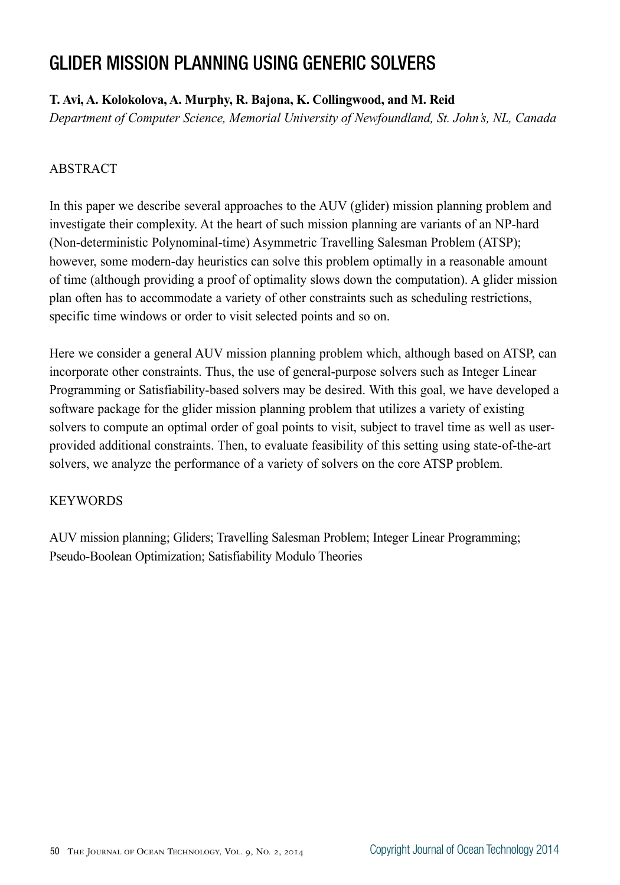# GLIDER MISSION PLANNING USING GENERIC SOLVERS

# **T. Avi, A. Kolokolova, A. Murphy, R. Bajona, K. Collingwood, and M. Reid**

*Department of Computer Science, Memorial University of Newfoundland, St. John's, NL, Canada*

# ABSTRACT

In this paper we describe several approaches to the AUV (glider) mission planning problem and investigate their complexity. At the heart of such mission planning are variants of an NP-hard (Non-deterministic Polynominal-time) Asymmetric Travelling Salesman Problem (ATSP); however, some modern-day heuristics can solve this problem optimally in a reasonable amount of time (although providing a proof of optimality slows down the computation). A glider mission plan often has to accommodate a variety of other constraints such as scheduling restrictions, specific time windows or order to visit selected points and so on.

Here we consider a general AUV mission planning problem which, although based on ATSP, can incorporate other constraints. Thus, the use of general-purpose solvers such as Integer Linear Programming or Satisfiability-based solvers may be desired. With this goal, we have developed a software package for the glider mission planning problem that utilizes a variety of existing solvers to compute an optimal order of goal points to visit, subject to travel time as well as userprovided additional constraints. Then, to evaluate feasibility of this setting using state-of-the-art solvers, we analyze the performance of a variety of solvers on the core ATSP problem.

# **KEYWORDS**

AUV mission planning; Gliders; Travelling Salesman Problem; Integer Linear Programming; Pseudo-Boolean Optimization; Satisfiability Modulo Theories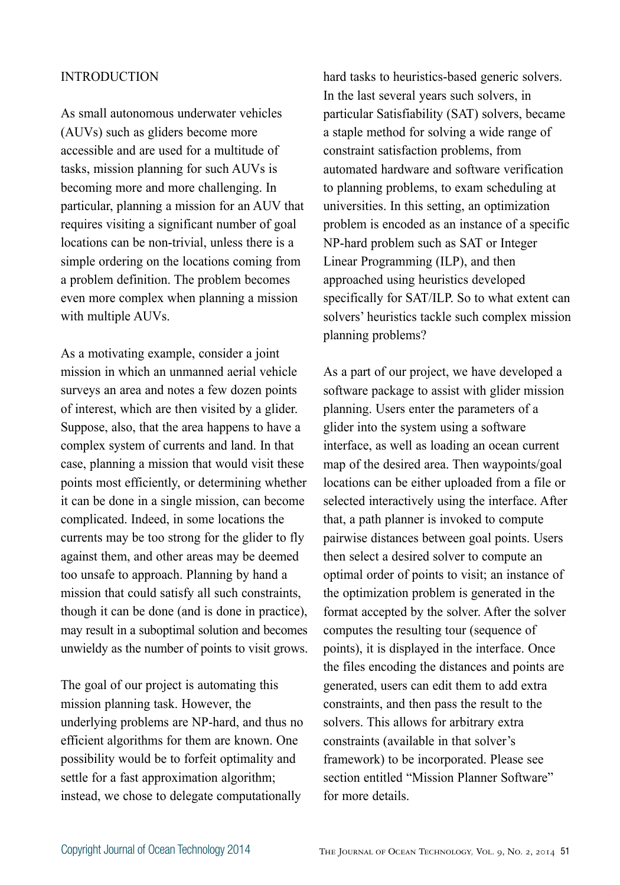#### INTRODUCTION

As small autonomous underwater vehicles (AUVs) such as gliders become more accessible and are used for a multitude of tasks, mission planning for such AUVs is becoming more and more challenging. In particular, planning a mission for an AUV that requires visiting a significant number of goal locations can be non-trivial, unless there is a simple ordering on the locations coming from a problem definition. The problem becomes even more complex when planning a mission with multiple AUVs.

As a motivating example, consider a joint mission in which an unmanned aerial vehicle surveys an area and notes a few dozen points of interest, which are then visited by a glider. Suppose, also, that the area happens to have a complex system of currents and land. In that case, planning a mission that would visit these points most efficiently, or determining whether it can be done in a single mission, can become complicated. Indeed, in some locations the currents may be too strong for the glider to fly against them, and other areas may be deemed too unsafe to approach. Planning by hand a mission that could satisfy all such constraints, though it can be done (and is done in practice), may result in a suboptimal solution and becomes unwieldy as the number of points to visit grows.

The goal of our project is automating this mission planning task. However, the underlying problems are NP-hard, and thus no efficient algorithms for them are known. One possibility would be to forfeit optimality and settle for a fast approximation algorithm; instead, we chose to delegate computationally

hard tasks to heuristics-based generic solvers. In the last several years such solvers, in particular Satisfiability (SAT) solvers, became a staple method for solving a wide range of constraint satisfaction problems, from automated hardware and software verification to planning problems, to exam scheduling at universities. In this setting, an optimization problem is encoded as an instance of a specific NP-hard problem such as SAT or Integer Linear Programming (ILP), and then approached using heuristics developed specifically for SAT/ILP. So to what extent can solvers' heuristics tackle such complex mission planning problems?

As a part of our project, we have developed a software package to assist with glider mission planning. Users enter the parameters of a glider into the system using a software interface, as well as loading an ocean current map of the desired area. Then waypoints/goal locations can be either uploaded from a file or selected interactively using the interface. After that, a path planner is invoked to compute pairwise distances between goal points. Users then select a desired solver to compute an optimal order of points to visit; an instance of the optimization problem is generated in the format accepted by the solver. After the solver computes the resulting tour (sequence of points), it is displayed in the interface. Once the files encoding the distances and points are generated, users can edit them to add extra constraints, and then pass the result to the solvers. This allows for arbitrary extra constraints (available in that solver's framework) to be incorporated. Please see section entitled "Mission Planner Software" for more details.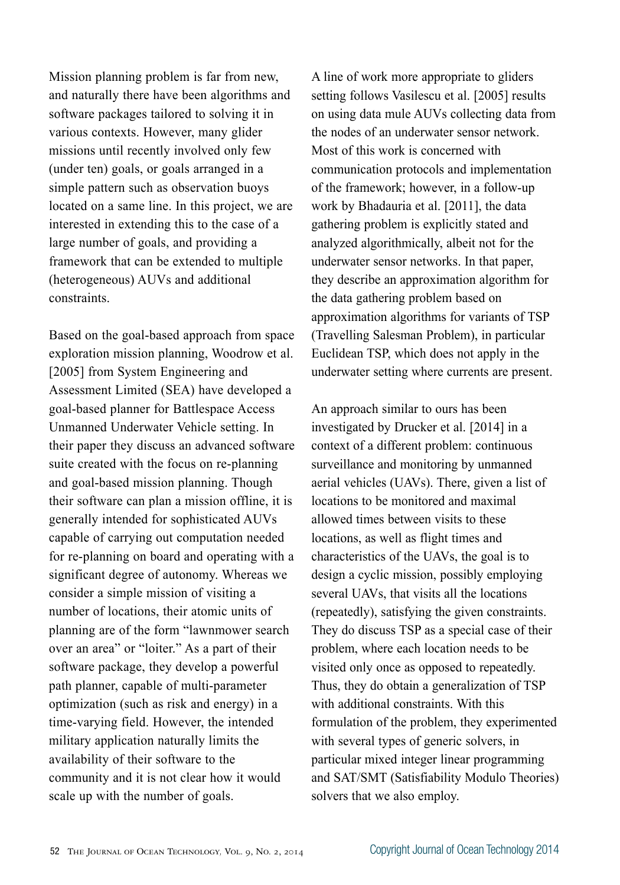Mission planning problem is far from new, and naturally there have been algorithms and software packages tailored to solving it in various contexts. However, many glider missions until recently involved only few (under ten) goals, or goals arranged in a simple pattern such as observation buoys located on a same line. In this project, we are interested in extending this to the case of a large number of goals, and providing a framework that can be extended to multiple (heterogeneous) AUVs and additional constraints.

Based on the goal-based approach from space exploration mission planning, Woodrow et al. [2005] from System Engineering and Assessment Limited (SEA) have developed a goal-based planner for Battlespace Access Unmanned Underwater Vehicle setting. In their paper they discuss an advanced software suite created with the focus on re-planning and goal-based mission planning. Though their software can plan a mission offline, it is generally intended for sophisticated AUVs capable of carrying out computation needed for re-planning on board and operating with a significant degree of autonomy. Whereas we consider a simple mission of visiting a number of locations, their atomic units of planning are of the form "lawnmower search over an area" or "loiter." As a part of their software package, they develop a powerful path planner, capable of multi-parameter optimization (such as risk and energy) in a time-varying field. However, the intended military application naturally limits the availability of their software to the community and it is not clear how it would scale up with the number of goals.

A line of work more appropriate to gliders setting follows Vasilescu et al. [2005] results on using data mule AUVs collecting data from the nodes of an underwater sensor network. Most of this work is concerned with communication protocols and implementation of the framework; however, in a follow-up work by Bhadauria et al. [2011], the data gathering problem is explicitly stated and analyzed algorithmically, albeit not for the underwater sensor networks. In that paper, they describe an approximation algorithm for the data gathering problem based on approximation algorithms for variants of TSP (Travelling Salesman Problem), in particular Euclidean TSP, which does not apply in the underwater setting where currents are present.

An approach similar to ours has been investigated by Drucker et al. [2014] in a context of a different problem: continuous surveillance and monitoring by unmanned aerial vehicles (UAVs). There, given a list of locations to be monitored and maximal allowed times between visits to these locations, as well as flight times and characteristics of the UAVs, the goal is to design a cyclic mission, possibly employing several UAVs, that visits all the locations (repeatedly), satisfying the given constraints. They do discuss TSP as a special case of their problem, where each location needs to be visited only once as opposed to repeatedly. Thus, they do obtain a generalization of TSP with additional constraints. With this formulation of the problem, they experimented with several types of generic solvers, in particular mixed integer linear programming and SAT/SMT (Satisfiability Modulo Theories) solvers that we also employ.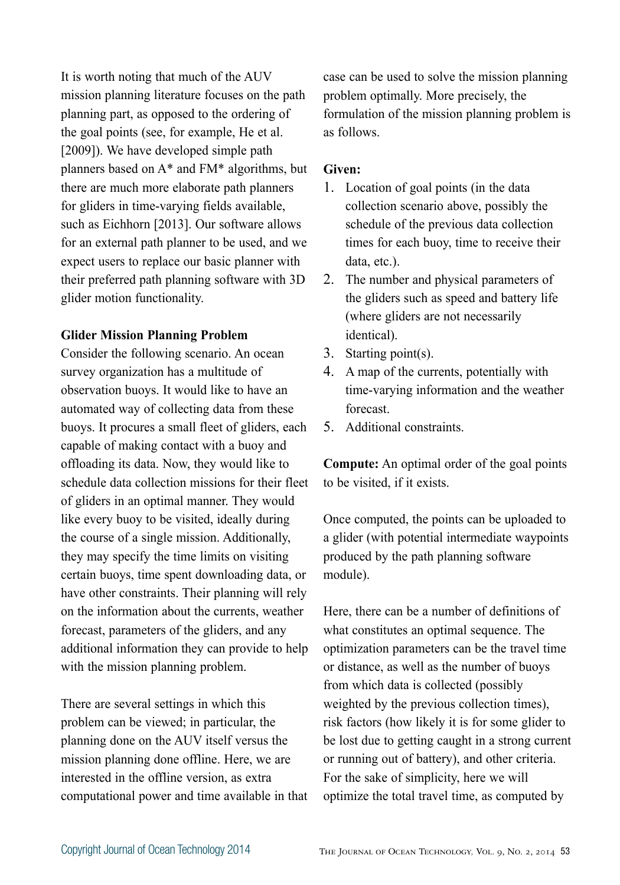It is worth noting that much of the AUV mission planning literature focuses on the path planning part, as opposed to the ordering of the goal points (see, for example, He et al. [2009]). We have developed simple path planners based on A\* and FM\* algorithms, but there are much more elaborate path planners for gliders in time-varying fields available, such as Eichhorn [2013]. Our software allows for an external path planner to be used, and we expect users to replace our basic planner with their preferred path planning software with 3D glider motion functionality.

#### **Glider Mission Planning Problem**

Consider the following scenario. An ocean survey organization has a multitude of observation buoys. It would like to have an automated way of collecting data from these buoys. It procures a small fleet of gliders, each capable of making contact with a buoy and offloading its data. Now, they would like to schedule data collection missions for their fleet of gliders in an optimal manner. They would like every buoy to be visited, ideally during the course of a single mission. Additionally, they may specify the time limits on visiting certain buoys, time spent downloading data, or have other constraints. Their planning will rely on the information about the currents, weather forecast, parameters of the gliders, and any additional information they can provide to help with the mission planning problem.

There are several settings in which this problem can be viewed; in particular, the planning done on the AUV itself versus the mission planning done offline. Here, we are interested in the offline version, as extra computational power and time available in that case can be used to solve the mission planning problem optimally. More precisely, the formulation of the mission planning problem is as follows.

#### **Given:**

- 1. Location of goal points (in the data collection scenario above, possibly the schedule of the previous data collection times for each buoy, time to receive their data, etc.).
- 2. The number and physical parameters of the gliders such as speed and battery life (where gliders are not necessarily identical).
- 3. Starting point(s).
- 4. A map of the currents, potentially with time-varying information and the weather forecast.
- 5. Additional constraints.

**Compute:** An optimal order of the goal points to be visited, if it exists.

Once computed, the points can be uploaded to a glider (with potential intermediate waypoints produced by the path planning software module).

Here, there can be a number of definitions of what constitutes an optimal sequence. The optimization parameters can be the travel time or distance, as well as the number of buoys from which data is collected (possibly weighted by the previous collection times), risk factors (how likely it is for some glider to be lost due to getting caught in a strong current or running out of battery), and other criteria. For the sake of simplicity, here we will optimize the total travel time, as computed by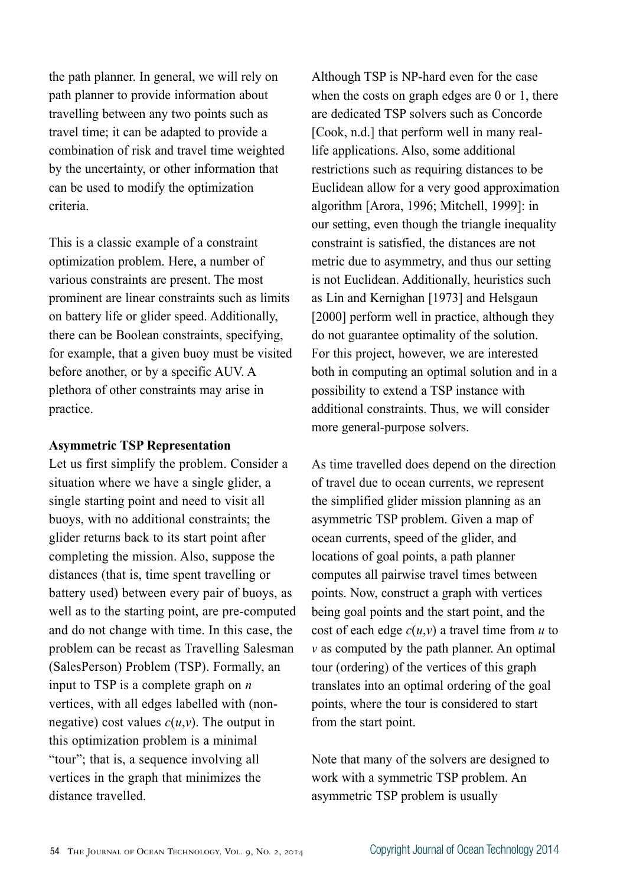the path planner. In general, we will rely on path planner to provide information about travelling between any two points such as travel time; it can be adapted to provide a combination of risk and travel time weighted by the uncertainty, or other information that can be used to modify the optimization criteria.

This is a classic example of a constraint optimization problem. Here, a number of various constraints are present. The most prominent are linear constraints such as limits on battery life or glider speed. Additionally, there can be Boolean constraints, specifying, for example, that a given buoy must be visited before another, or by a specific AUV. A plethora of other constraints may arise in practice.

#### **Asymmetric TSP Representation**

Let us first simplify the problem. Consider a situation where we have a single glider, a single starting point and need to visit all buoys, with no additional constraints; the glider returns back to its start point after completing the mission. Also, suppose the distances (that is, time spent travelling or battery used) between every pair of buoys, as well as to the starting point, are pre-computed and do not change with time. In this case, the problem can be recast as Travelling Salesman (SalesPerson) Problem (TSP). Formally, an input to TSP is a complete graph on *n* vertices, with all edges labelled with (nonnegative) cost values  $c(u, v)$ . The output in this optimization problem is a minimal "tour"; that is, a sequence involving all vertices in the graph that minimizes the distance travelled.

Although TSP is NP-hard even for the case when the costs on graph edges are 0 or 1, there are dedicated TSP solvers such as Concorde [Cook, n.d.] that perform well in many reallife applications. Also, some additional restrictions such as requiring distances to be Euclidean allow for a very good approximation algorithm [Arora, 1996; Mitchell, 1999]: in our setting, even though the triangle inequality constraint is satisfied, the distances are not metric due to asymmetry, and thus our setting is not Euclidean. Additionally, heuristics such as Lin and Kernighan [1973] and Helsgaun [2000] perform well in practice, although they do not guarantee optimality of the solution. For this project, however, we are interested both in computing an optimal solution and in a possibility to extend a TSP instance with additional constraints. Thus, we will consider more general-purpose solvers.

As time travelled does depend on the direction of travel due to ocean currents, we represent the simplified glider mission planning as an asymmetric TSP problem. Given a map of ocean currents, speed of the glider, and locations of goal points, a path planner computes all pairwise travel times between points. Now, construct a graph with vertices being goal points and the start point, and the cost of each edge *c*(*u*,*v*) a travel time from *u* to *v* as computed by the path planner. An optimal tour (ordering) of the vertices of this graph translates into an optimal ordering of the goal points, where the tour is considered to start from the start point.

Note that many of the solvers are designed to work with a symmetric TSP problem. An asymmetric TSP problem is usually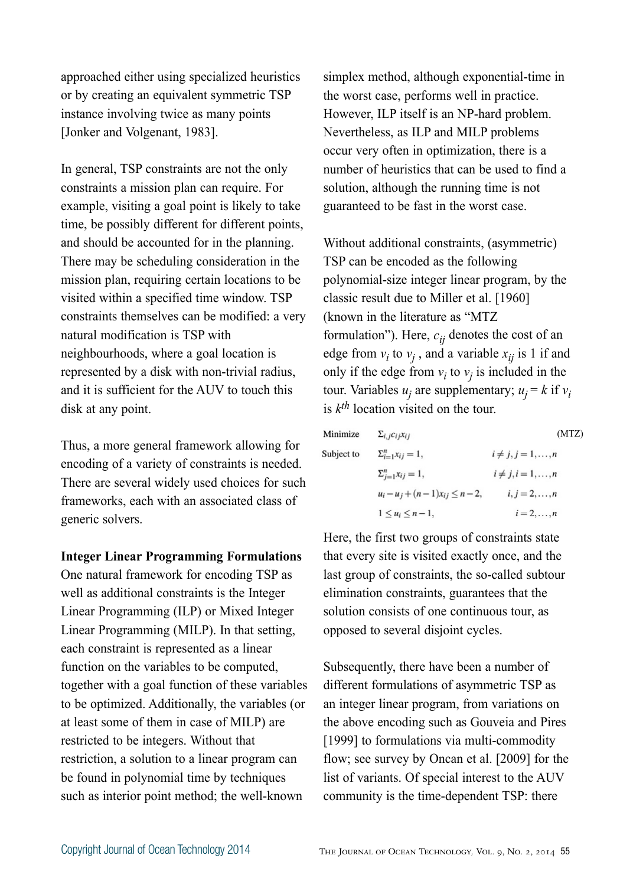approached either using specialized heuristics or by creating an equivalent symmetric TSP instance involving twice as many points [Jonker and Volgenant, 1983].

In general, TSP constraints are not the only constraints a mission plan can require. For example, visiting a goal point is likely to take time, be possibly different for different points, and should be accounted for in the planning. There may be scheduling consideration in the mission plan, requiring certain locations to be visited within a specified time window. TSP constraints themselves can be modified: a very natural modification is TSP with neighbourhoods, where a goal location is represented by a disk with non-trivial radius, and it is sufficient for the AUV to touch this disk at any point.

Thus, a more general framework allowing for encoding of a variety of constraints is needed. There are several widely used choices for such frameworks, each with an associated class of generic solvers.

**Integer Linear Programming Formulations**

One natural framework for encoding TSP as well as additional constraints is the Integer Linear Programming (ILP) or Mixed Integer Linear Programming (MILP). In that setting, each constraint is represented as a linear function on the variables to be computed, together with a goal function of these variables to be optimized. Additionally, the variables (or at least some of them in case of MILP) are restricted to be integers. Without that restriction, a solution to a linear program can be found in polynomial time by techniques such as interior point method; the well-known

simplex method, although exponential-time in the worst case, performs well in practice. However, ILP itself is an NP-hard problem. Nevertheless, as ILP and MILP problems occur very often in optimization, there is a number of heuristics that can be used to find a solution, although the running time is not guaranteed to be fast in the worst case.

Without additional constraints, (asymmetric) TSP can be encoded as the following polynomial-size integer linear program, by the classic result due to Miller et al. [1960] (known in the literature as "MTZ formulation"). Here,  $c_{ij}$  denotes the cost of an edge from  $v_i$  to  $v_j$ , and a variable  $x_{ij}$  is 1 if and only if the edge from  $v_i$  to  $v_j$  is included in the tour. Variables  $u_j$  are supplementary;  $u_j = k$  if  $v_i$ is *kth* location visited on the tour.

| Minimize   | $\Sigma_{i,j}c_{ij}x_{ij}$               | (MTZ)                        |
|------------|------------------------------------------|------------------------------|
| Subject to | $\Sigma_{i=1}^n x_{ij} = 1,$             | $i \neq j, j = 1, \ldots, n$ |
|            | $\Sigma_{j=1}^n x_{ij} = 1,$             | $i \neq j, i = 1, \ldots, n$ |
|            | $u_i - u_j + (n - 1)x_{ij} \leq n - 2$ , | $i, j = 2, , n$              |
|            | $1 \leq u_i \leq n-1$ ,                  | $i=2,\ldots,n$               |

Here, the first two groups of constraints state that every site is visited exactly once, and the last group of constraints, the so-called subtour elimination constraints, guarantees that the solution consists of one continuous tour, as opposed to several disjoint cycles.

Subsequently, there have been a number of different formulations of asymmetric TSP as an integer linear program, from variations on the above encoding such as Gouveia and Pires [1999] to formulations via multi-commodity flow; see survey by Oncan et al. [2009] for the list of variants. Of special interest to the AUV community is the time-dependent TSP: there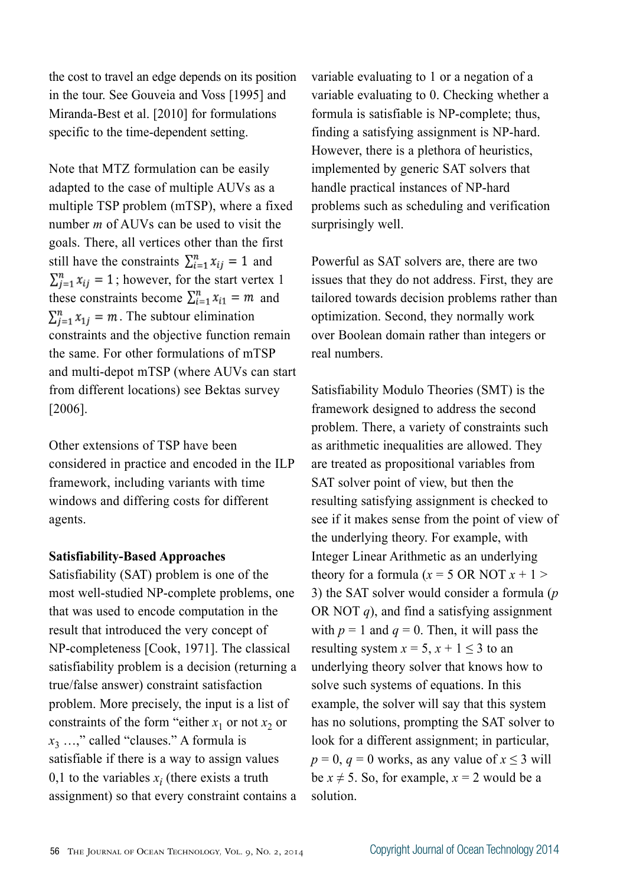the cost to travel an edge depends on its position in the tour. See Gouveia and Voss [1995] and Miranda-Best et al. [2010] for formulations specific to the time-dependent setting.

Note that MTZ formulation can be easily adapted to the case of multiple AUVs as a multiple TSP problem (mTSP), where a fixed number *m* of AUVs can be used to visit the goals. There, all vertices other than the first still have the constraints  $\sum_{i=1}^{n} x_{ij} = 1$  and  $\sum_{i=1}^{n} x_{ij} = 1$ ; however, for the start vertex 1 these constraints become  $\sum_{i=1}^{n} x_{i1} = m$  and  $\sum_{i=1}^{n} x_{1i} = m$ . The subtour elimination constraints and the objective function remain the same. For other formulations of mTSP and multi-depot mTSP (where AUVs can start from different locations) see Bektas survey [2006].

Other extensions of TSP have been considered in practice and encoded in the ILP framework, including variants with time windows and differing costs for different agents.

#### **Satisfiability-Based Approaches**

Satisfiability (SAT) problem is one of the most well-studied NP-complete problems, one that was used to encode computation in the result that introduced the very concept of NP-completeness [Cook, 1971]. The classical satisfiability problem is a decision (returning a true/false answer) constraint satisfaction problem. More precisely, the input is a list of constraints of the form "either  $x_1$  or not  $x_2$  or *x*3 …," called "clauses." A formula is satisfiable if there is a way to assign values 0,1 to the variables  $x_i$  (there exists a truth assignment) so that every constraint contains a variable evaluating to 1 or a negation of a variable evaluating to 0. Checking whether a formula is satisfiable is NP-complete; thus, finding a satisfying assignment is NP-hard. However, there is a plethora of heuristics, implemented by generic SAT solvers that handle practical instances of NP-hard problems such as scheduling and verification surprisingly well.

Powerful as SAT solvers are, there are two issues that they do not address. First, they are tailored towards decision problems rather than optimization. Second, they normally work over Boolean domain rather than integers or real numbers.

Satisfiability Modulo Theories (SMT) is the framework designed to address the second problem. There, a variety of constraints such as arithmetic inequalities are allowed. They are treated as propositional variables from SAT solver point of view, but then the resulting satisfying assignment is checked to see if it makes sense from the point of view of the underlying theory. For example, with Integer Linear Arithmetic as an underlying theory for a formula  $(x = 5 \text{ OR NOT } x + 1)$ 3) the SAT solver would consider a formula (*p*  OR NOT *q*), and find a satisfying assignment with  $p = 1$  and  $q = 0$ . Then, it will pass the resulting system  $x = 5$ ,  $x + 1 \le 3$  to an underlying theory solver that knows how to solve such systems of equations. In this example, the solver will say that this system has no solutions, prompting the SAT solver to look for a different assignment; in particular,  $p = 0$ ,  $q = 0$  works, as any value of  $x \le 3$  will be  $x \neq 5$ . So, for example,  $x = 2$  would be a solution.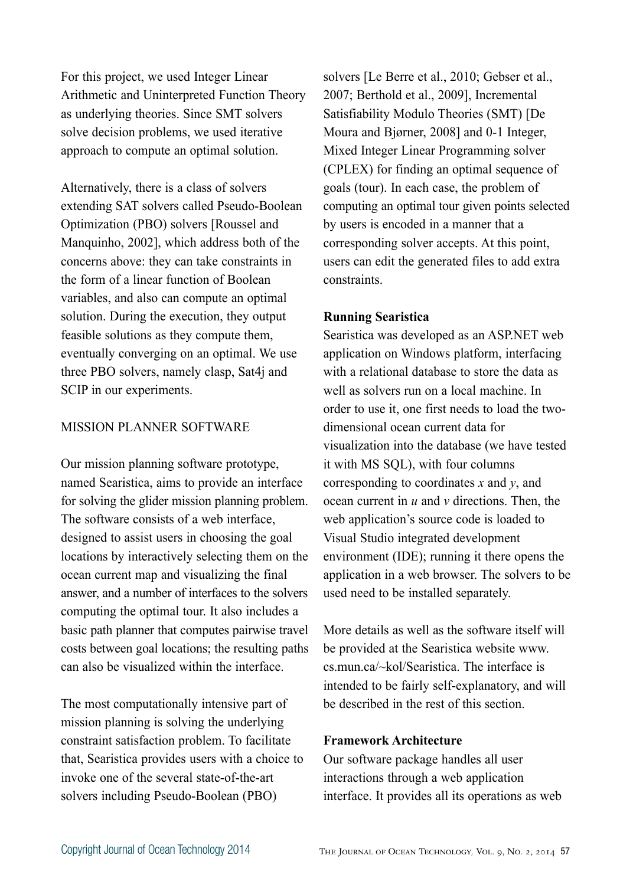For this project, we used Integer Linear Arithmetic and Uninterpreted Function Theory as underlying theories. Since SMT solvers solve decision problems, we used iterative approach to compute an optimal solution.

Alternatively, there is a class of solvers extending SAT solvers called Pseudo-Boolean Optimization (PBO) solvers [Roussel and Manquinho, 2002], which address both of the concerns above: they can take constraints in the form of a linear function of Boolean variables, and also can compute an optimal solution. During the execution, they output feasible solutions as they compute them, eventually converging on an optimal. We use three PBO solvers, namely clasp, Sat4j and SCIP in our experiments.

#### MISSION PLANNER SOFTWARE

Our mission planning software prototype, named Searistica, aims to provide an interface for solving the glider mission planning problem. The software consists of a web interface, designed to assist users in choosing the goal locations by interactively selecting them on the ocean current map and visualizing the final answer, and a number of interfaces to the solvers computing the optimal tour. It also includes a basic path planner that computes pairwise travel costs between goal locations; the resulting paths can also be visualized within the interface.

The most computationally intensive part of mission planning is solving the underlying constraint satisfaction problem. To facilitate that, Searistica provides users with a choice to invoke one of the several state-of-the-art solvers including Pseudo-Boolean (PBO)

solvers [Le Berre et al., 2010; Gebser et al., 2007; Berthold et al., 2009], Incremental Satisfiability Modulo Theories (SMT) [De Moura and Bjørner, 2008] and 0-1 Integer, Mixed Integer Linear Programming solver (CPLEX) for finding an optimal sequence of goals (tour). In each case, the problem of computing an optimal tour given points selected by users is encoded in a manner that a corresponding solver accepts. At this point, users can edit the generated files to add extra constraints.

#### **Running Searistica**

Searistica was developed as an ASP.NET web application on Windows platform, interfacing with a relational database to store the data as well as solvers run on a local machine. In order to use it, one first needs to load the twodimensional ocean current data for visualization into the database (we have tested it with MS SQL), with four columns corresponding to coordinates *x* and *y*, and ocean current in *u* and *v* directions. Then, the web application's source code is loaded to Visual Studio integrated development environment (IDE); running it there opens the application in a web browser. The solvers to be used need to be installed separately.

More details as well as the software itself will be provided at the Searistica website www. cs.mun.ca/~kol/Searistica. The interface is intended to be fairly self-explanatory, and will be described in the rest of this section.

#### **Framework Architecture**

Our software package handles all user interactions through a web application interface. It provides all its operations as web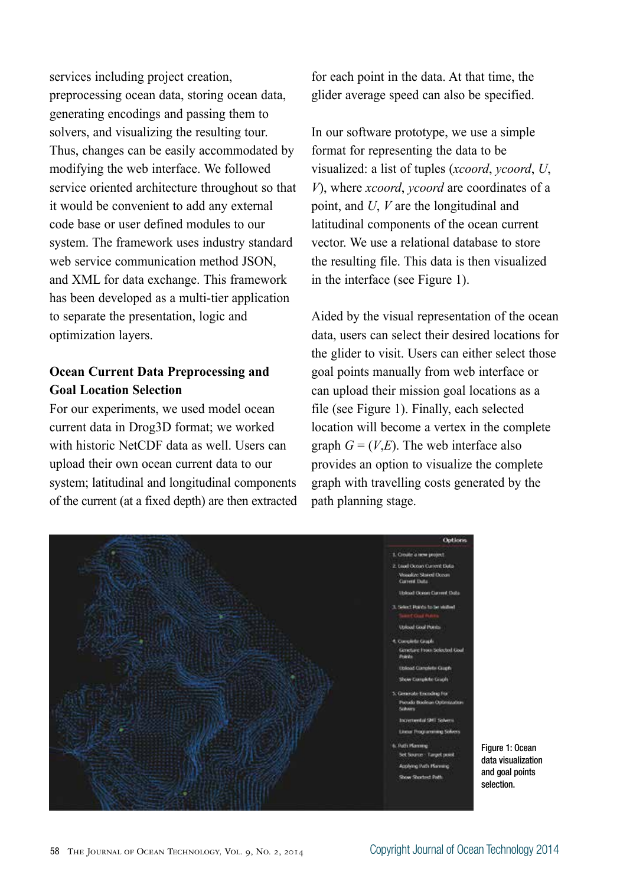services including project creation, preprocessing ocean data, storing ocean data, generating encodings and passing them to solvers, and visualizing the resulting tour. Thus, changes can be easily accommodated by modifying the web interface. We followed service oriented architecture throughout so that it would be convenient to add any external code base or user defined modules to our system. The framework uses industry standard web service communication method JSON, and XML for data exchange. This framework has been developed as a multi-tier application to separate the presentation, logic and optimization layers.

# **Ocean Current Data Preprocessing and Goal Location Selection**

For our experiments, we used model ocean current data in Drog3D format; we worked with historic NetCDF data as well. Users can upload their own ocean current data to our system; latitudinal and longitudinal components of the current (at a fixed depth) are then extracted for each point in the data. At that time, the glider average speed can also be specified.

In our software prototype, we use a simple format for representing the data to be visualized: a list of tuples (*xcoord*, *ycoord*, *U*, *V*), where *xcoord*, *ycoord* are coordinates of a point, and *U*, *V* are the longitudinal and latitudinal components of the ocean current vector. We use a relational database to store the resulting file. This data is then visualized in the interface (see Figure 1).

Aided by the visual representation of the ocean data, users can select their desired locations for the glider to visit. Users can either select those goal points manually from web interface or can upload their mission goal locations as a file (see Figure 1). Finally, each selected location will become a vertex in the complete graph  $G = (V,E)$ . The web interface also provides an option to visualize the complete graph with travelling costs generated by the path planning stage.



Figure 1: Ocean data visualization and goal points selection.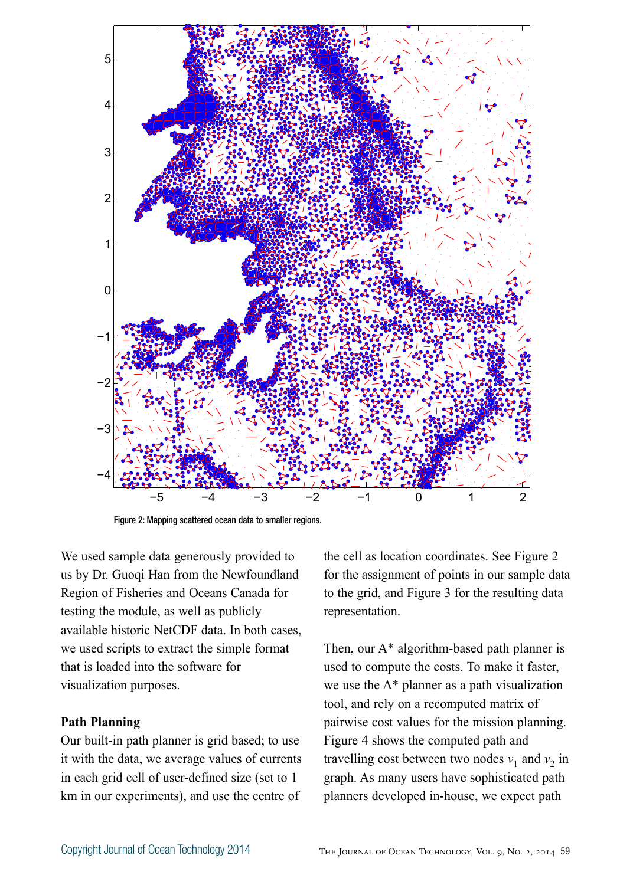

Figure 2: Mapping scattered ocean data to smaller regions.

We used sample data generously provided to us by Dr. Guoqi Han from the Newfoundland Region of Fisheries and Oceans Canada for testing the module, as well as publicly available historic NetCDF data. In both cases, we used scripts to extract the simple format that is loaded into the software for visualization purposes.

#### **Path Planning**

Our built-in path planner is grid based; to use it with the data, we average values of currents in each grid cell of user-defined size (set to 1 km in our experiments), and use the centre of

the cell as location coordinates. See Figure 2 for the assignment of points in our sample data to the grid, and Figure 3 for the resulting data representation.

Then, our A\* algorithm-based path planner is used to compute the costs. To make it faster, we use the A\* planner as a path visualization tool, and rely on a recomputed matrix of pairwise cost values for the mission planning. Figure 4 shows the computed path and travelling cost between two nodes  $v_1$  and  $v_2$  in graph. As many users have sophisticated path planners developed in-house, we expect path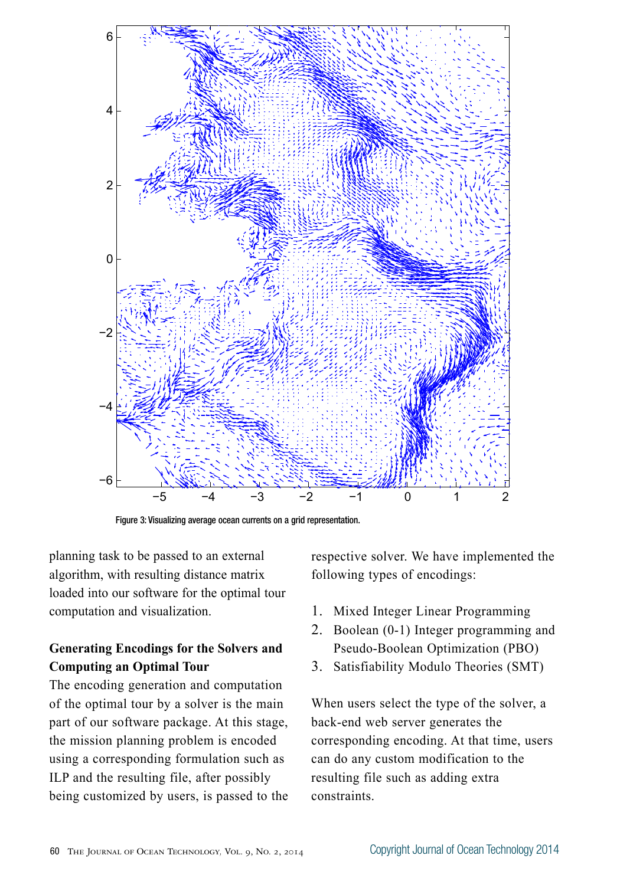

Figure 3: Visualizing average ocean currents on a grid representation.

planning task to be passed to an external algorithm, with resulting distance matrix loaded into our software for the optimal tour computation and visualization.

# **Generating Encodings for the Solvers and Computing an Optimal Tour**

The encoding generation and computation of the optimal tour by a solver is the main part of our software package. At this stage, the mission planning problem is encoded using a corresponding formulation such as ILP and the resulting file, after possibly being customized by users, is passed to the respective solver. We have implemented the following types of encodings:

- 1. Mixed Integer Linear Programming
- 2. Boolean (0-1) Integer programming and Pseudo-Boolean Optimization (PBO)
- 3. Satisfiability Modulo Theories (SMT)

When users select the type of the solver, a back-end web server generates the corresponding encoding. At that time, users can do any custom modification to the resulting file such as adding extra constraints.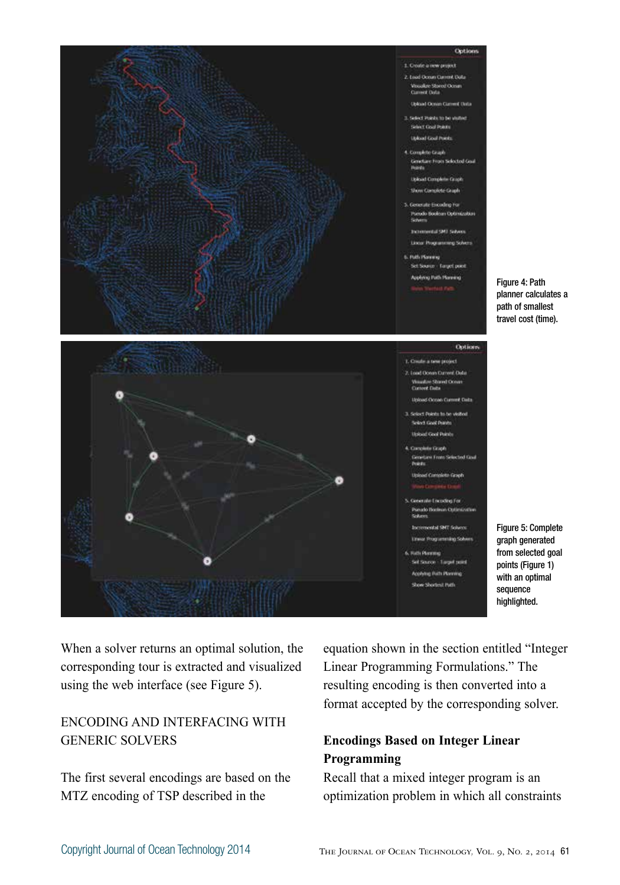

When a solver returns an optimal solution, the corresponding tour is extracted and visualized using the web interface (see Figure 5).

# ENCODING AND INTERFACING WITH GENERIC SOLVERS

The first several encodings are based on the MTZ encoding of TSP described in the

equation shown in the section entitled "Integer Linear Programming Formulations." The resulting encoding is then converted into a format accepted by the corresponding solver.

# **Encodings Based on Integer Linear Programming**

Recall that a mixed integer program is an optimization problem in which all constraints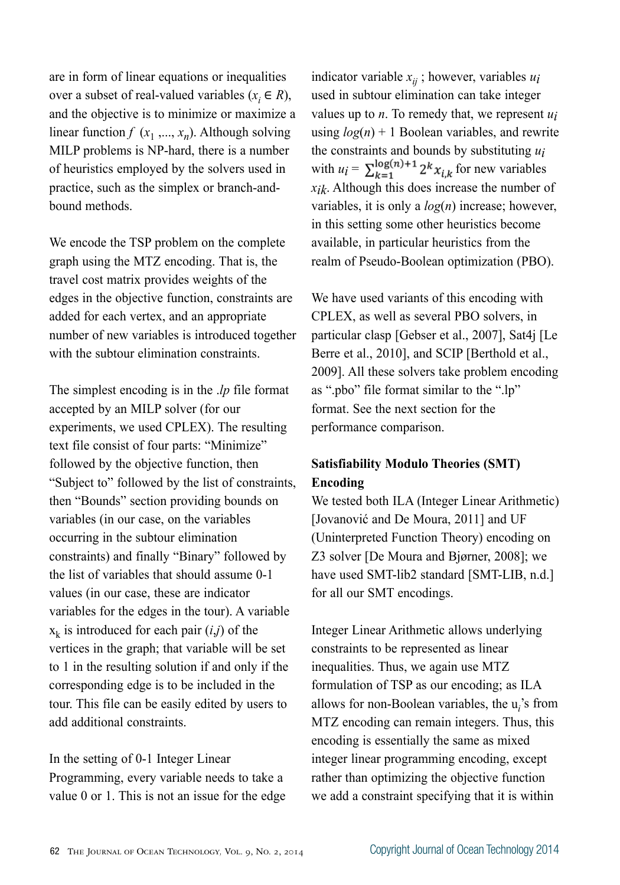are in form of linear equations or inequalities over a subset of real-valued variables ( $x_i \in R$ ), and the objective is to minimize or maximize a linear function  $f(x_1, ..., x_n)$ . Although solving MILP problems is NP-hard, there is a number of heuristics employed by the solvers used in practice, such as the simplex or branch-andbound methods.

We encode the TSP problem on the complete graph using the MTZ encoding. That is, the travel cost matrix provides weights of the edges in the objective function, constraints are added for each vertex, and an appropriate number of new variables is introduced together with the subtour elimination constraints.

The simplest encoding is in the .*lp* file format accepted by an MILP solver (for our experiments, we used CPLEX). The resulting text file consist of four parts: "Minimize" followed by the objective function, then "Subject to" followed by the list of constraints, then "Bounds" section providing bounds on variables (in our case, on the variables occurring in the subtour elimination constraints) and finally "Binary" followed by the list of variables that should assume 0-1 values (in our case, these are indicator variables for the edges in the tour). A variable  $x_k$  is introduced for each pair  $(i,j)$  of the vertices in the graph; that variable will be set to 1 in the resulting solution if and only if the corresponding edge is to be included in the tour. This file can be easily edited by users to add additional constraints.

In the setting of 0-1 Integer Linear Programming, every variable needs to take a value 0 or 1. This is not an issue for the edge

indicator variable  $x_{ij}$ ; however, variables  $u_i$ used in subtour elimination can take integer values up to *n*. To remedy that, we represent *ui* using  $log(n) + 1$  Boolean variables, and rewrite the constraints and bounds by substituting *ui* with  $u_i = \sum_{k=1}^{\log(n)+1} 2^k x_{i,k}$  for new variables *xik*. Although this does increase the number of variables, it is only a *log*(*n*) increase; however, in this setting some other heuristics become available, in particular heuristics from the realm of Pseudo-Boolean optimization (PBO).

We have used variants of this encoding with CPLEX, as well as several PBO solvers, in particular clasp [Gebser et al., 2007], Sat4j [Le Berre et al., 2010], and SCIP [Berthold et al., 2009]. All these solvers take problem encoding as ".pbo" file format similar to the ".lp" format. See the next section for the performance comparison.

# **Satisfiability Modulo Theories (SMT) Encoding**

We tested both ILA (Integer Linear Arithmetic) [Jovanović and De Moura, 2011] and UF (Uninterpreted Function Theory) encoding on Z3 solver [De Moura and Bjørner, 2008]; we have used SMT-lib2 standard [SMT-LIB, n.d.] for all our SMT encodings.

Integer Linear Arithmetic allows underlying constraints to be represented as linear inequalities. Thus, we again use MTZ formulation of TSP as our encoding; as ILA allows for non-Boolean variables, the u*<sup>i</sup>* 's from MTZ encoding can remain integers. Thus, this encoding is essentially the same as mixed integer linear programming encoding, except rather than optimizing the objective function we add a constraint specifying that it is within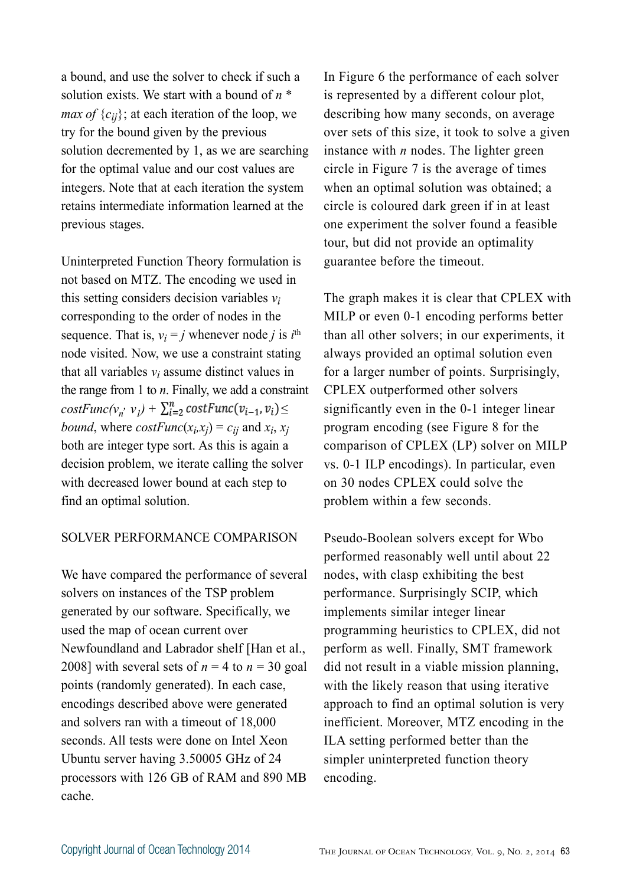a bound, and use the solver to check if such a solution exists. We start with a bound of *n* \* *max of*  ${c_{ij}}$ ; at each iteration of the loop, we try for the bound given by the previous solution decremented by 1, as we are searching for the optimal value and our cost values are integers. Note that at each iteration the system retains intermediate information learned at the previous stages.

Uninterpreted Function Theory formulation is not based on MTZ. The encoding we used in this setting considers decision variables *vi*  corresponding to the order of nodes in the sequence. That is,  $v_i = j$  whenever node *j* is  $i^{\text{th}}$ node visited. Now, we use a constraint stating that all variables  $v_i$  assume distinct values in the range from 1 to *n*. Finally, we add a constraint  $costFunc(v_n, v_l) + \sum_{i=2}^n costFunc(v_{i-1}, v_i) \leq$ *bound*, where *costFunc*( $x_i$ , $x_j$ ) =  $c_{ij}$  and  $x_i$ ,  $x_j$ both are integer type sort. As this is again a decision problem, we iterate calling the solver with decreased lower bound at each step to find an optimal solution.

#### SOLVER PERFORMANCE COMPARISON

We have compared the performance of several solvers on instances of the TSP problem generated by our software. Specifically, we used the map of ocean current over Newfoundland and Labrador shelf [Han et al., 2008] with several sets of  $n = 4$  to  $n = 30$  goal points (randomly generated). In each case, encodings described above were generated and solvers ran with a timeout of 18,000 seconds. All tests were done on Intel Xeon Ubuntu server having 3.50005 GHz of 24 processors with 126 GB of RAM and 890 MB cache.

In Figure 6 the performance of each solver is represented by a different colour plot, describing how many seconds, on average over sets of this size, it took to solve a given instance with *n* nodes. The lighter green circle in Figure 7 is the average of times when an optimal solution was obtained; a circle is coloured dark green if in at least one experiment the solver found a feasible tour, but did not provide an optimality guarantee before the timeout.

The graph makes it is clear that CPLEX with MILP or even 0-1 encoding performs better than all other solvers; in our experiments, it always provided an optimal solution even for a larger number of points. Surprisingly, CPLEX outperformed other solvers significantly even in the 0-1 integer linear program encoding (see Figure 8 for the comparison of CPLEX (LP) solver on MILP vs. 0-1 ILP encodings). In particular, even on 30 nodes CPLEX could solve the problem within a few seconds.

Pseudo-Boolean solvers except for Wbo performed reasonably well until about 22 nodes, with clasp exhibiting the best performance. Surprisingly SCIP, which implements similar integer linear programming heuristics to CPLEX, did not perform as well. Finally, SMT framework did not result in a viable mission planning, with the likely reason that using iterative approach to find an optimal solution is very inefficient. Moreover, MTZ encoding in the ILA setting performed better than the simpler uninterpreted function theory encoding.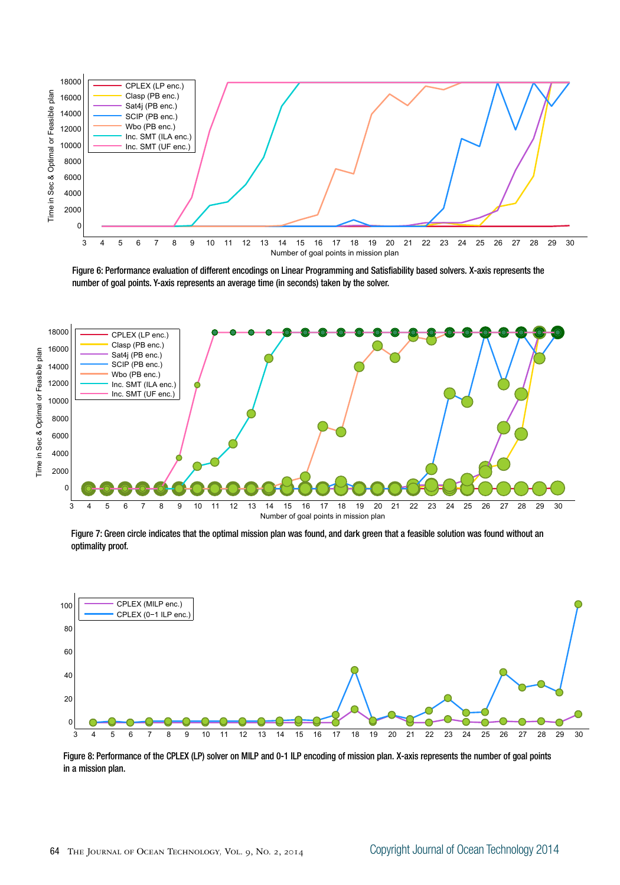

Figure 6: Performance evaluation of different encodings on Linear Programming and Satisfiability based solvers. X-axis represents the number of goal points. Y-axis represents an average time (in seconds) taken by the solver.



Figure 7: Green circle indicates that the optimal mission plan was found, and dark green that a feasible solution was found without an optimality proof.



Figure 8: Performance of the CPLEX (LP) solver on MILP and 0-1 ILP encoding of mission plan. X-axis represents the number of goal points in a mission plan.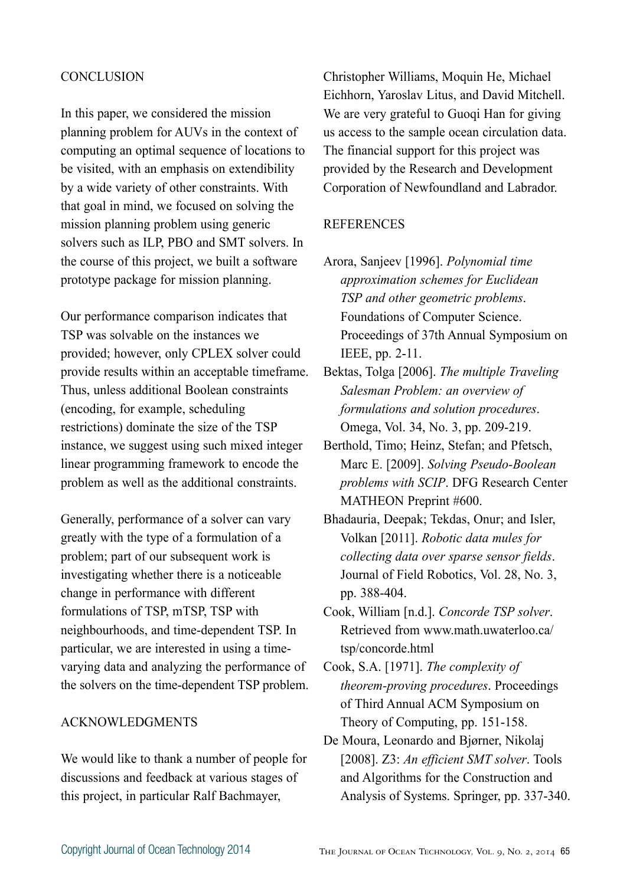#### **CONCLUSION**

In this paper, we considered the mission planning problem for AUVs in the context of computing an optimal sequence of locations to be visited, with an emphasis on extendibility by a wide variety of other constraints. With that goal in mind, we focused on solving the mission planning problem using generic solvers such as ILP, PBO and SMT solvers. In the course of this project, we built a software prototype package for mission planning.

Our performance comparison indicates that TSP was solvable on the instances we provided; however, only CPLEX solver could provide results within an acceptable timeframe. Thus, unless additional Boolean constraints (encoding, for example, scheduling restrictions) dominate the size of the TSP instance, we suggest using such mixed integer linear programming framework to encode the problem as well as the additional constraints.

Generally, performance of a solver can vary greatly with the type of a formulation of a problem; part of our subsequent work is investigating whether there is a noticeable change in performance with different formulations of TSP, mTSP, TSP with neighbourhoods, and time-dependent TSP. In particular, we are interested in using a timevarying data and analyzing the performance of the solvers on the time-dependent TSP problem.

#### ACKNOWLEDGMENTS

We would like to thank a number of people for discussions and feedback at various stages of this project, in particular Ralf Bachmayer,

Christopher Williams, Moquin He, Michael Eichhorn, Yaroslav Litus, and David Mitchell. We are very grateful to Guoqi Han for giving us access to the sample ocean circulation data. The financial support for this project was provided by the Research and Development Corporation of Newfoundland and Labrador.

#### REFERENCES

- Arora, Sanjeev [1996]. *Polynomial time approximation schemes for Euclidean TSP and other geometric problems*. Foundations of Computer Science. Proceedings of 37th Annual Symposium on IEEE, pp. 2-11.
- Bektas, Tolga [2006]. *The multiple Traveling Salesman Problem: an overview of formulations and solution procedures*. Omega, Vol. 34, No. 3, pp. 209-219.
- Berthold, Timo; Heinz, Stefan; and Pfetsch, Marc E. [2009]. *Solving Pseudo-Boolean problems with SCIP*. DFG Research Center MATHEON Preprint #600.
- Bhadauria, Deepak; Tekdas, Onur; and Isler, Volkan [2011]. *Robotic data mules for collecting data over sparse sensor fields*. Journal of Field Robotics, Vol. 28, No. 3, pp. 388-404.
- Cook, William [n.d.]. *Concorde TSP solver*. Retrieved from www.math.uwaterloo.ca/ tsp/concorde.html

Cook, S.A. [1971]. *The complexity of theorem-proving procedures*. Proceedings of Third Annual ACM Symposium on Theory of Computing, pp. 151-158.

De Moura, Leonardo and Bjørner, Nikolaj [2008]. Z3: *An efficient SMT solver*. Tools and Algorithms for the Construction and Analysis of Systems. Springer, pp. 337-340.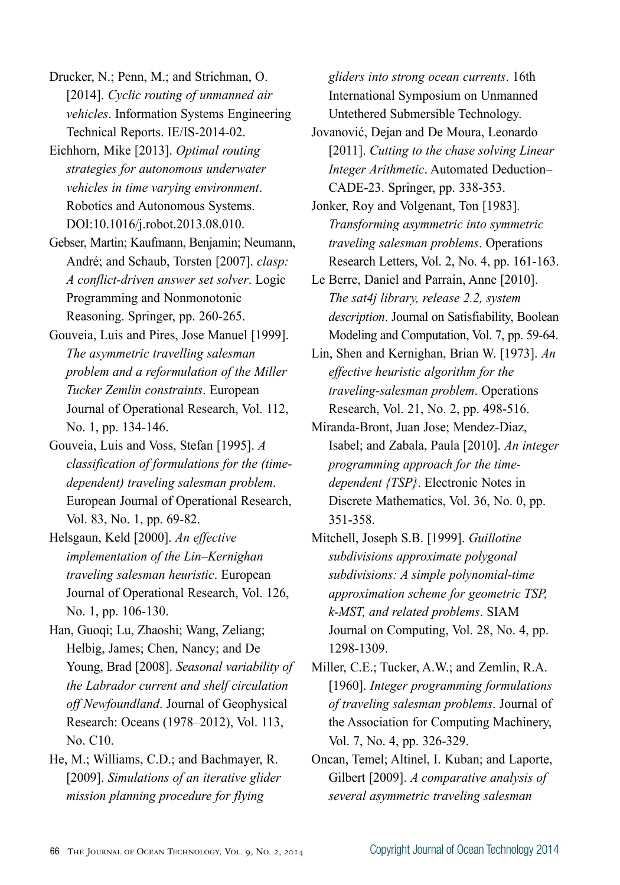Drucker, N.; Penn, M.; and Strichman, O. [2014]. *Cyclic routing of unmanned air vehicles*. Information Systems Engineering Technical Reports. IE/IS-2014-02.

Eichhorn, Mike [2013]. *Optimal routing strategies for autonomous underwater vehicles in time varying environment*. Robotics and Autonomous Systems. DOI:10.1016/j.robot.2013.08.010.

Gebser, Martin; Kaufmann, Benjamin; Neumann, André; and Schaub, Torsten [2007]. *clasp: A conflict-driven answer set solver*. Logic Programming and Nonmonotonic Reasoning. Springer, pp. 260-265.

Gouveia, Luis and Pires, Jose Manuel [1999]. *The asymmetric travelling salesman problem and a reformulation of the Miller Tucker Zemlin constraints*. European Journal of Operational Research, Vol. 112, No. 1, pp. 134-146.

Gouveia, Luis and Voss, Stefan [1995]. *A classification of formulations for the (timedependent) traveling salesman problem*. European Journal of Operational Research, Vol. 83, No. 1, pp. 69-82.

Helsgaun, Keld [2000]. *An effective implementation of the Lin–Kernighan traveling salesman heuristic*. European Journal of Operational Research, Vol. 126, No. 1, pp. 106-130.

Han, Guoqi; Lu, Zhaoshi; Wang, Zeliang; Helbig, James; Chen, Nancy; and De Young, Brad [2008]. *Seasonal variability of the Labrador current and shelf circulation off Newfoundland*. Journal of Geophysical Research: Oceans (1978–2012), Vol. 113, No. C10.

He, M.; Williams, C.D.; and Bachmayer, R. [2009]. *Simulations of an iterative glider mission planning procedure for flying* 

*gliders into strong ocean currents*. 16th International Symposium on Unmanned Untethered Submersible Technology.

Jovanović, Dejan and De Moura, Leonardo [2011]. *Cutting to the chase solving Linear Integer Arithmetic*. Automated Deduction– CADE-23. Springer, pp. 338-353.

Jonker, Roy and Volgenant, Ton [1983]. *Transforming asymmetric into symmetric traveling salesman problems*. Operations Research Letters, Vol. 2, No. 4, pp. 161-163.

Le Berre, Daniel and Parrain, Anne [2010]. *The sat4j library, release 2.2, system description*. Journal on Satisfiability, Boolean Modeling and Computation, Vol. 7, pp. 59-64.

Lin, Shen and Kernighan, Brian W. [1973]. *An effective heuristic algorithm for the traveling-salesman problem*. Operations Research, Vol. 21, No. 2, pp. 498-516.

Miranda-Bront, Juan Jose; Mendez-Diaz, Isabel; and Zabala, Paula [2010]. *An integer programming approach for the timedependent {TSP}*. Electronic Notes in Discrete Mathematics, Vol. 36, No. 0, pp. 351-358.

Mitchell, Joseph S.B. [1999]. *Guillotine subdivisions approximate polygonal subdivisions: A simple polynomial-time approximation scheme for geometric TSP, k-MST, and related problems*. SIAM Journal on Computing, Vol. 28, No. 4, pp. 1298-1309.

Miller, C.E.; Tucker, A.W.; and Zemlin, R.A. [1960]. *Integer programming formulations of traveling salesman problems*. Journal of the Association for Computing Machinery, Vol. 7, No. 4, pp. 326-329.

Oncan, Temel; Altinel, I. Kuban; and Laporte, Gilbert [2009]. *A comparative analysis of several asymmetric traveling salesman*